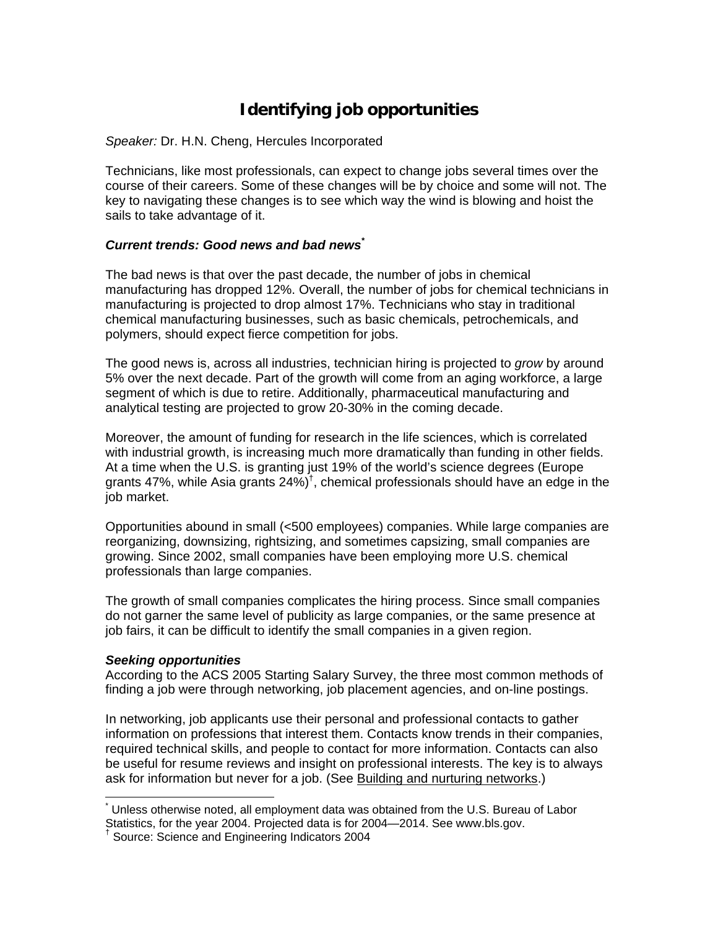# **Identifying job opportunities**

*Speaker:* Dr. H.N. Cheng, Hercules Incorporated

Technicians, like most professionals, can expect to change jobs several times over the course of their careers. Some of these changes will be by choice and some will not. The key to navigating these changes is to see which way the wind is blowing and hoist the sails to take advantage of it.

# *Current trends: Good news and bad news\**

The bad news is that over the past decade, the number of jobs in chemical manufacturing has dropped 12%. Overall, the number of jobs for chemical technicians in manufacturing is projected to drop almost 17%. Technicians who stay in traditional chemical manufacturing businesses, such as basic chemicals, petrochemicals, and polymers, should expect fierce competition for jobs.

The good news is, across all industries, technician hiring is projected to *grow* by around 5% over the next decade. Part of the growth will come from an aging workforce, a large segment of which is due to retire. Additionally, pharmaceutical manufacturing and analytical testing are projected to grow 20-30% in the coming decade.

Moreover, the amount of funding for research in the life sciences, which is correlated with industrial growth, is increasing much more dramatically than funding in other fields. At a time when the U.S. is granting just 19% of the world's science degrees (Europe grants 47%, while Asia grants  $24\%$ <sup>†</sup>, chemical professionals should have an edge in the job market.

Opportunities abound in small (<500 employees) companies. While large companies are reorganizing, downsizing, rightsizing, and sometimes capsizing, small companies are growing. Since 2002, small companies have been employing more U.S. chemical professionals than large companies.

The growth of small companies complicates the hiring process. Since small companies do not garner the same level of publicity as large companies, or the same presence at job fairs, it can be difficult to identify the small companies in a given region.

## *Seeking opportunities*

According to the ACS 2005 Starting Salary Survey, the three most common methods of finding a job were through networking, job placement agencies, and on-line postings.

In networking, job applicants use their personal and professional contacts to gather information on professions that interest them. Contacts know trends in their companies, required technical skills, and people to contact for more information. Contacts can also be useful for resume reviews and insight on professional interests. The key is to always ask for information but never for a job. (See Building and nurturing networks.)

 $\overline{a}$ \* Unless otherwise noted, all employment data was obtained from the U.S. Bureau of Labor Statistics, for the year 2004. Projected data is for 2004—2014. See www.bls.gov. †

<sup>&</sup>lt;sup>†</sup> Source: Science and Engineering Indicators 2004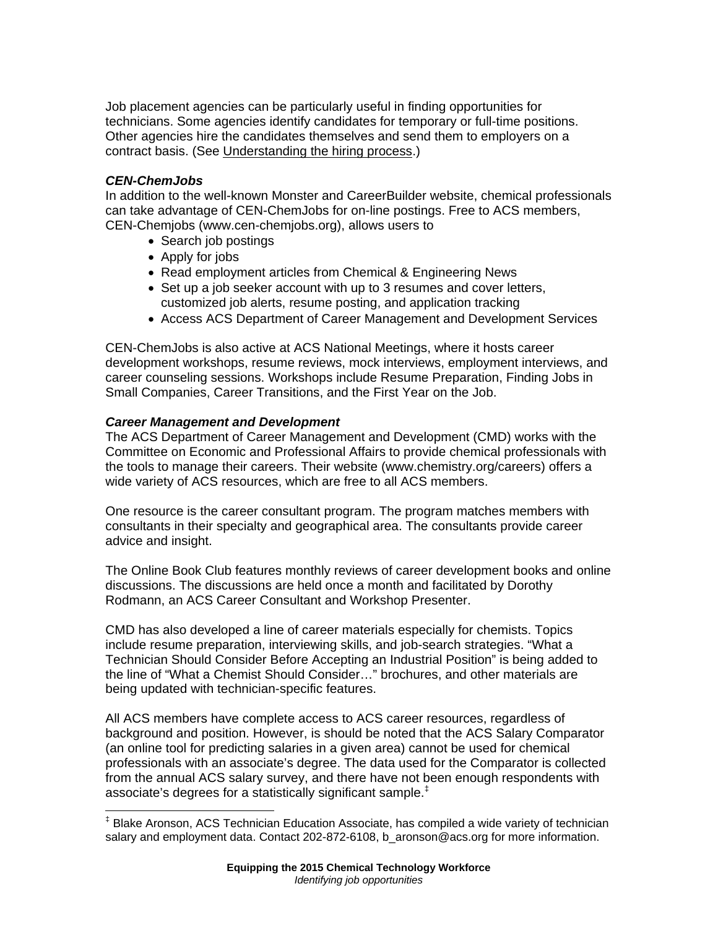Job placement agencies can be particularly useful in finding opportunities for technicians. Some agencies identify candidates for temporary or full-time positions. Other agencies hire the candidates themselves and send them to employers on a contract basis. (See Understanding the hiring process.)

### *CEN-ChemJobs*

In addition to the well-known Monster and CareerBuilder website, chemical professionals can take advantage of CEN-ChemJobs for on-line postings. Free to ACS members, CEN-Chemjobs (www.cen-chemjobs.org), allows users to

- Search job postings
- Apply for jobs
- Read employment articles from Chemical & Engineering News
- Set up a job seeker account with up to 3 resumes and cover letters, customized job alerts, resume posting, and application tracking
- Access ACS Department of Career Management and Development Services

CEN-ChemJobs is also active at ACS National Meetings, where it hosts career development workshops, resume reviews, mock interviews, employment interviews, and career counseling sessions. Workshops include Resume Preparation, Finding Jobs in Small Companies, Career Transitions, and the First Year on the Job.

#### *Career Management and Development*

The ACS Department of Career Management and Development (CMD) works with the Committee on Economic and Professional Affairs to provide chemical professionals with the tools to manage their careers. Their website (www.chemistry.org/careers) offers a wide variety of ACS resources, which are free to all ACS members.

One resource is the career consultant program. The program matches members with consultants in their specialty and geographical area. The consultants provide career advice and insight.

The Online Book Club features monthly reviews of career development books and online discussions. The discussions are held once a month and facilitated by Dorothy Rodmann, an ACS Career Consultant and Workshop Presenter.

CMD has also developed a line of career materials especially for chemists. Topics include resume preparation, interviewing skills, and job-search strategies. "What a Technician Should Consider Before Accepting an Industrial Position" is being added to the line of "What a Chemist Should Consider…" brochures, and other materials are being updated with technician-specific features.

All ACS members have complete access to ACS career resources, regardless of background and position. However, is should be noted that the ACS Salary Comparator (an online tool for predicting salaries in a given area) cannot be used for chemical professionals with an associate's degree. The data used for the Comparator is collected from the annual ACS salary survey, and there have not been enough respondents with associate's degrees for a statistically significant sample.<sup>‡</sup>

<sup>‡</sup> Blake Aronson, ACS Technician Education Associate, has compiled a wide variety of technician salary and employment data. Contact 202-872-6108, b\_aronson@acs.org for more information.